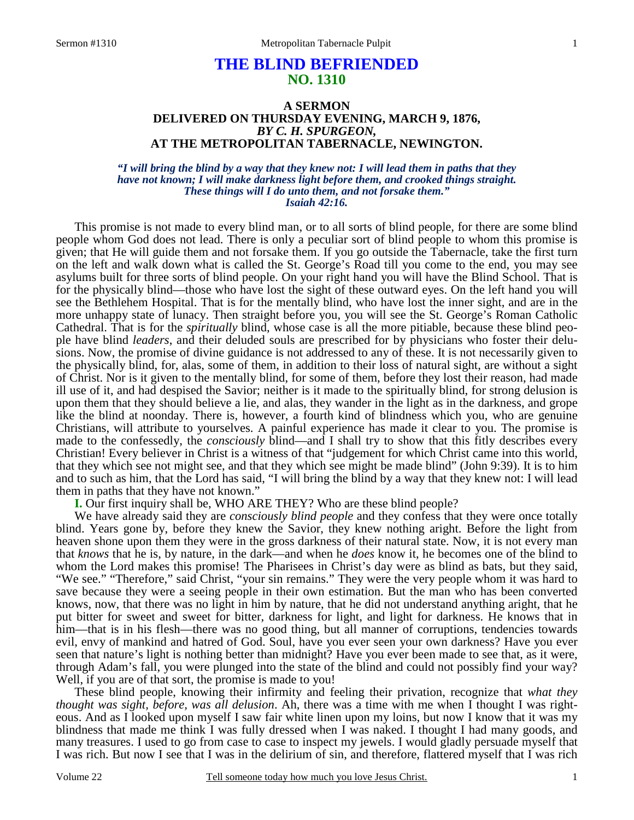# **THE BLIND BEFRIENDED NO. 1310**

### **A SERMON DELIVERED ON THURSDAY EVENING, MARCH 9, 1876,**  *BY C. H. SPURGEON,*  **AT THE METROPOLITAN TABERNACLE, NEWINGTON.**

### *"I will bring the blind by a way that they knew not: I will lead them in paths that they have not known; I will make darkness light before them, and crooked things straight. These things will I do unto them, and not forsake them." Isaiah 42:16.*

This promise is not made to every blind man, or to all sorts of blind people, for there are some blind people whom God does not lead. There is only a peculiar sort of blind people to whom this promise is given; that He will guide them and not forsake them. If you go outside the Tabernacle, take the first turn on the left and walk down what is called the St. George's Road till you come to the end, you may see asylums built for three sorts of blind people. On your right hand you will have the Blind School. That is for the physically blind—those who have lost the sight of these outward eyes. On the left hand you will see the Bethlehem Hospital. That is for the mentally blind, who have lost the inner sight, and are in the more unhappy state of lunacy. Then straight before you, you will see the St. George's Roman Catholic Cathedral. That is for the *spiritually* blind, whose case is all the more pitiable, because these blind people have blind *leaders*, and their deluded souls are prescribed for by physicians who foster their delusions. Now, the promise of divine guidance is not addressed to any of these. It is not necessarily given to the physically blind, for, alas, some of them, in addition to their loss of natural sight, are without a sight of Christ. Nor is it given to the mentally blind, for some of them, before they lost their reason, had made ill use of it, and had despised the Savior; neither is it made to the spiritually blind, for strong delusion is upon them that they should believe a lie, and alas, they wander in the light as in the darkness, and grope like the blind at noonday. There is, however, a fourth kind of blindness which you, who are genuine Christians, will attribute to yourselves. A painful experience has made it clear to you. The promise is made to the confessedly, the *consciously* blind—and I shall try to show that this fitly describes every Christian! Every believer in Christ is a witness of that "judgement for which Christ came into this world, that they which see not might see, and that they which see might be made blind" (John 9:39). It is to him and to such as him, that the Lord has said, "I will bring the blind by a way that they knew not: I will lead them in paths that they have not known."

# **I.** Our first inquiry shall be, WHO ARE THEY? Who are these blind people?

 We have already said they are *consciously blind people* and they confess that they were once totally blind. Years gone by, before they knew the Savior, they knew nothing aright. Before the light from heaven shone upon them they were in the gross darkness of their natural state. Now, it is not every man that *knows* that he is, by nature, in the dark—and when he *does* know it, he becomes one of the blind to whom the Lord makes this promise! The Pharisees in Christ's day were as blind as bats, but they said, "We see." "Therefore," said Christ, "your sin remains." They were the very people whom it was hard to save because they were a seeing people in their own estimation. But the man who has been converted knows, now, that there was no light in him by nature, that he did not understand anything aright, that he put bitter for sweet and sweet for bitter, darkness for light, and light for darkness. He knows that in him—that is in his flesh—there was no good thing, but all manner of corruptions, tendencies towards evil, envy of mankind and hatred of God. Soul, have you ever seen your own darkness? Have you ever seen that nature's light is nothing better than midnight? Have you ever been made to see that, as it were, through Adam's fall, you were plunged into the state of the blind and could not possibly find your way? Well, if you are of that sort, the promise is made to you!

 These blind people, knowing their infirmity and feeling their privation, recognize that *what they thought was sight, before, was all delusion*. Ah, there was a time with me when I thought I was righteous. And as I looked upon myself I saw fair white linen upon my loins, but now I know that it was my blindness that made me think I was fully dressed when I was naked. I thought I had many goods, and many treasures. I used to go from case to case to inspect my jewels. I would gladly persuade myself that I was rich. But now I see that I was in the delirium of sin, and therefore, flattered myself that I was rich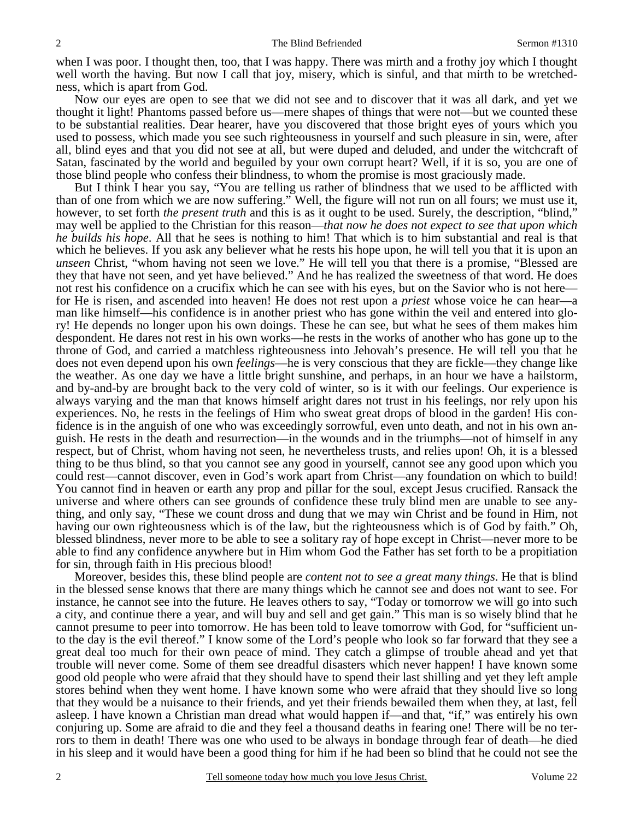when I was poor. I thought then, too, that I was happy. There was mirth and a frothy joy which I thought well worth the having. But now I call that joy, misery, which is sinful, and that mirth to be wretchedness, which is apart from God.

 Now our eyes are open to see that we did not see and to discover that it was all dark, and yet we thought it light! Phantoms passed before us—mere shapes of things that were not—but we counted these to be substantial realities. Dear hearer, have you discovered that those bright eyes of yours which you used to possess, which made you see such righteousness in yourself and such pleasure in sin, were, after all, blind eyes and that you did not see at all, but were duped and deluded, and under the witchcraft of Satan, fascinated by the world and beguiled by your own corrupt heart? Well, if it is so, you are one of those blind people who confess their blindness, to whom the promise is most graciously made.

 But I think I hear you say, "You are telling us rather of blindness that we used to be afflicted with than of one from which we are now suffering." Well, the figure will not run on all fours; we must use it, however, to set forth *the present truth* and this is as it ought to be used. Surely, the description, "blind," may well be applied to the Christian for this reason—*that now he does not expect to see that upon which he builds his hope*. All that he sees is nothing to him! That which is to him substantial and real is that which he believes. If you ask any believer what he rests his hope upon, he will tell you that it is upon an *unseen* Christ, "whom having not seen we love." He will tell you that there is a promise, "Blessed are they that have not seen, and yet have believed." And he has realized the sweetness of that word. He does not rest his confidence on a crucifix which he can see with his eyes, but on the Savior who is not here for He is risen, and ascended into heaven! He does not rest upon a *priest* whose voice he can hear—a man like himself—his confidence is in another priest who has gone within the veil and entered into glory! He depends no longer upon his own doings. These he can see, but what he sees of them makes him despondent. He dares not rest in his own works—he rests in the works of another who has gone up to the throne of God, and carried a matchless righteousness into Jehovah's presence. He will tell you that he does not even depend upon his own *feelings*—he is very conscious that they are fickle—they change like the weather. As one day we have a little bright sunshine, and perhaps, in an hour we have a hailstorm, and by-and-by are brought back to the very cold of winter, so is it with our feelings. Our experience is always varying and the man that knows himself aright dares not trust in his feelings, nor rely upon his experiences. No, he rests in the feelings of Him who sweat great drops of blood in the garden! His confidence is in the anguish of one who was exceedingly sorrowful, even unto death, and not in his own anguish. He rests in the death and resurrection—in the wounds and in the triumphs—not of himself in any respect, but of Christ, whom having not seen, he nevertheless trusts, and relies upon! Oh, it is a blessed thing to be thus blind, so that you cannot see any good in yourself, cannot see any good upon which you could rest—cannot discover, even in God's work apart from Christ—any foundation on which to build! You cannot find in heaven or earth any prop and pillar for the soul, except Jesus crucified. Ransack the universe and where others can see grounds of confidence these truly blind men are unable to see anything, and only say, "These we count dross and dung that we may win Christ and be found in Him, not having our own righteousness which is of the law, but the righteousness which is of God by faith." Oh, blessed blindness, never more to be able to see a solitary ray of hope except in Christ—never more to be able to find any confidence anywhere but in Him whom God the Father has set forth to be a propitiation for sin, through faith in His precious blood!

 Moreover, besides this, these blind people are *content not to see a great many things*. He that is blind in the blessed sense knows that there are many things which he cannot see and does not want to see. For instance, he cannot see into the future. He leaves others to say, "Today or tomorrow we will go into such a city, and continue there a year, and will buy and sell and get gain." This man is so wisely blind that he cannot presume to peer into tomorrow. He has been told to leave tomorrow with God, for "sufficient unto the day is the evil thereof." I know some of the Lord's people who look so far forward that they see a great deal too much for their own peace of mind. They catch a glimpse of trouble ahead and yet that trouble will never come. Some of them see dreadful disasters which never happen! I have known some good old people who were afraid that they should have to spend their last shilling and yet they left ample stores behind when they went home. I have known some who were afraid that they should live so long that they would be a nuisance to their friends, and yet their friends bewailed them when they, at last, fell asleep. I have known a Christian man dread what would happen if—and that, "if," was entirely his own conjuring up. Some are afraid to die and they feel a thousand deaths in fearing one! There will be no terrors to them in death! There was one who used to be always in bondage through fear of death—he died in his sleep and it would have been a good thing for him if he had been so blind that he could not see the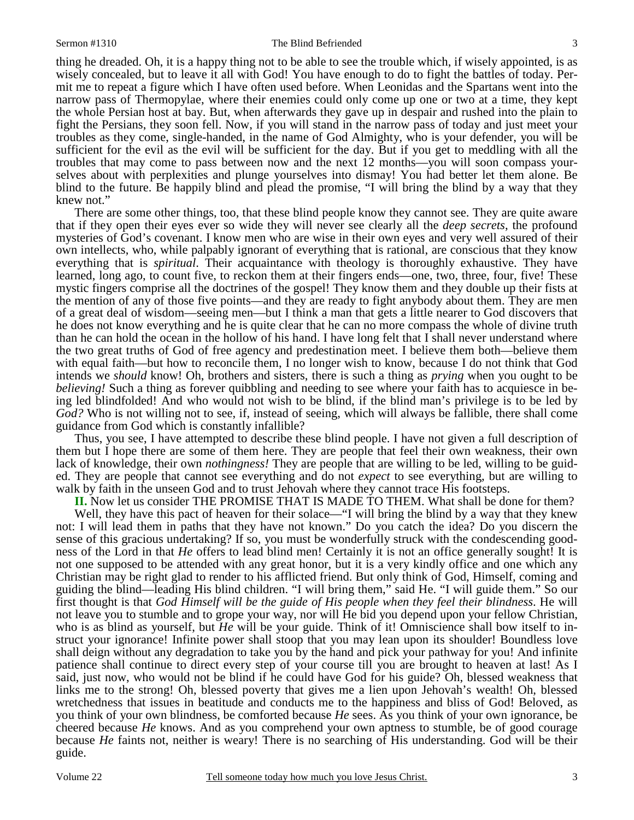#### Sermon #1310 The Blind Befriended

thing he dreaded. Oh, it is a happy thing not to be able to see the trouble which, if wisely appointed, is as wisely concealed, but to leave it all with God! You have enough to do to fight the battles of today. Permit me to repeat a figure which I have often used before. When Leonidas and the Spartans went into the narrow pass of Thermopylae, where their enemies could only come up one or two at a time, they kept the whole Persian host at bay. But, when afterwards they gave up in despair and rushed into the plain to fight the Persians, they soon fell. Now, if you will stand in the narrow pass of today and just meet your troubles as they come, single-handed, in the name of God Almighty, who is your defender, you will be sufficient for the evil as the evil will be sufficient for the day. But if you get to meddling with all the troubles that may come to pass between now and the next 12 months—you will soon compass yourselves about with perplexities and plunge yourselves into dismay! You had better let them alone. Be blind to the future. Be happily blind and plead the promise, "I will bring the blind by a way that they knew not."

 There are some other things, too, that these blind people know they cannot see. They are quite aware that if they open their eyes ever so wide they will never see clearly all the *deep secrets*, the profound mysteries of God's covenant. I know men who are wise in their own eyes and very well assured of their own intellects, who, while palpably ignorant of everything that is rational, are conscious that they know everything that is *spiritual*. Their acquaintance with theology is thoroughly exhaustive. They have learned, long ago, to count five, to reckon them at their fingers ends—one, two, three, four, five! These mystic fingers comprise all the doctrines of the gospel! They know them and they double up their fists at the mention of any of those five points—and they are ready to fight anybody about them. They are men of a great deal of wisdom—seeing men—but I think a man that gets a little nearer to God discovers that he does not know everything and he is quite clear that he can no more compass the whole of divine truth than he can hold the ocean in the hollow of his hand. I have long felt that I shall never understand where the two great truths of God of free agency and predestination meet. I believe them both—believe them with equal faith—but how to reconcile them, I no longer wish to know, because I do not think that God intends we *should* know! Oh, brothers and sisters, there is such a thing as *prying* when you ought to be *believing!* Such a thing as forever quibbling and needing to see where your faith has to acquiesce in being led blindfolded! And who would not wish to be blind, if the blind man's privilege is to be led by *God?* Who is not willing not to see, if, instead of seeing, which will always be fallible, there shall come guidance from God which is constantly infallible?

 Thus, you see, I have attempted to describe these blind people. I have not given a full description of them but I hope there are some of them here. They are people that feel their own weakness, their own lack of knowledge, their own *nothingness!* They are people that are willing to be led, willing to be guided. They are people that cannot see everything and do not *expect* to see everything, but are willing to walk by faith in the unseen God and to trust Jehovah where they cannot trace His footsteps.

**II.** Now let us consider THE PROMISE THAT IS MADE TO THEM. What shall be done for them?

Well, they have this pact of heaven for their solace—"I will bring the blind by a way that they knew not: I will lead them in paths that they have not known." Do you catch the idea? Do you discern the sense of this gracious undertaking? If so, you must be wonderfully struck with the condescending goodness of the Lord in that *He* offers to lead blind men! Certainly it is not an office generally sought! It is not one supposed to be attended with any great honor, but it is a very kindly office and one which any Christian may be right glad to render to his afflicted friend. But only think of God, Himself, coming and guiding the blind—leading His blind children. "I will bring them," said He. "I will guide them." So our first thought is that *God Himself will be the guide of His people when they feel their blindness*. He will not leave you to stumble and to grope your way, nor will He bid you depend upon your fellow Christian, who is as blind as yourself, but *He* will be your guide. Think of it! Omniscience shall bow itself to instruct your ignorance! Infinite power shall stoop that you may lean upon its shoulder! Boundless love shall deign without any degradation to take you by the hand and pick your pathway for you! And infinite patience shall continue to direct every step of your course till you are brought to heaven at last! As I said, just now, who would not be blind if he could have God for his guide? Oh, blessed weakness that links me to the strong! Oh, blessed poverty that gives me a lien upon Jehovah's wealth! Oh, blessed wretchedness that issues in beatitude and conducts me to the happiness and bliss of God! Beloved, as you think of your own blindness, be comforted because *He* sees. As you think of your own ignorance, be cheered because *He* knows. And as you comprehend your own aptness to stumble, be of good courage because *He* faints not, neither is weary! There is no searching of His understanding. God will be their guide.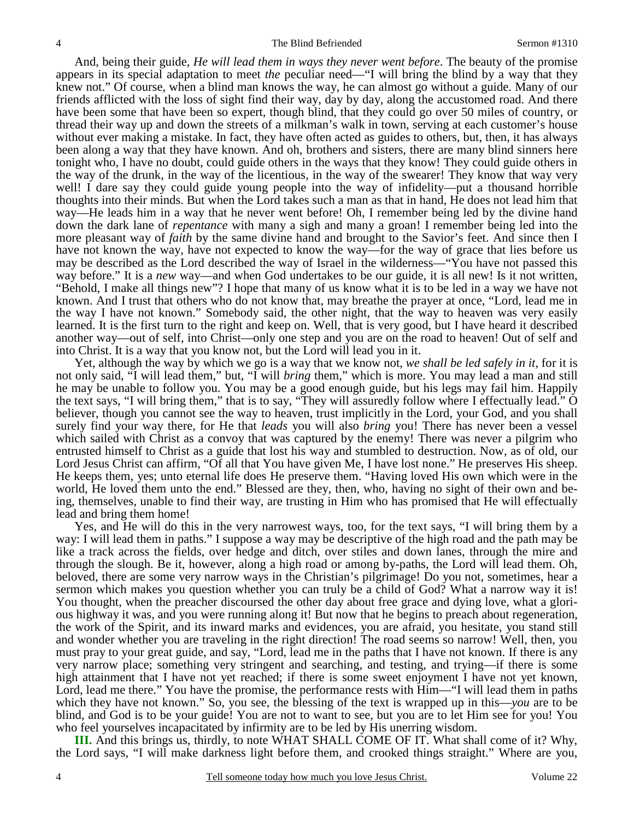And, being their guide, *He will lead them in ways they never went before*. The beauty of the promise appears in its special adaptation to meet *the* peculiar need—"I will bring the blind by a way that they knew not." Of course, when a blind man knows the way, he can almost go without a guide. Many of our friends afflicted with the loss of sight find their way, day by day, along the accustomed road. And there have been some that have been so expert, though blind, that they could go over 50 miles of country, or thread their way up and down the streets of a milkman's walk in town, serving at each customer's house without ever making a mistake. In fact, they have often acted as guides to others, but, then, it has always been along a way that they have known. And oh, brothers and sisters, there are many blind sinners here tonight who, I have no doubt, could guide others in the ways that they know! They could guide others in the way of the drunk, in the way of the licentious, in the way of the swearer! They know that way very well! I dare say they could guide young people into the way of infidelity—put a thousand horrible thoughts into their minds. But when the Lord takes such a man as that in hand, He does not lead him that way—He leads him in a way that he never went before! Oh, I remember being led by the divine hand down the dark lane of *repentance* with many a sigh and many a groan! I remember being led into the more pleasant way of *faith* by the same divine hand and brought to the Savior's feet. And since then I have not known the way, have not expected to know the way—for the way of grace that lies before us may be described as the Lord described the way of Israel in the wilderness—"You have not passed this way before." It is a *new* way—and when God undertakes to be our guide, it is all new! Is it not written, "Behold, I make all things new"? I hope that many of us know what it is to be led in a way we have not known. And I trust that others who do not know that, may breathe the prayer at once, "Lord, lead me in the way I have not known." Somebody said, the other night, that the way to heaven was very easily learned. It is the first turn to the right and keep on. Well, that is very good, but I have heard it described another way—out of self, into Christ—only one step and you are on the road to heaven! Out of self and into Christ. It is a way that you know not, but the Lord will lead you in it.

 Yet, although the way by which we go is a way that we know not, *we shall be led safely in it,* for it is not only said, "I will lead them," but, "I will *bring* them," which is more. You may lead a man and still he may be unable to follow you. You may be a good enough guide, but his legs may fail him. Happily the text says, "I will bring them," that is to say, "They will assuredly follow where I effectually lead." O believer, though you cannot see the way to heaven, trust implicitly in the Lord, your God, and you shall surely find your way there, for He that *leads* you will also *bring* you! There has never been a vessel which sailed with Christ as a convoy that was captured by the enemy! There was never a pilgrim who entrusted himself to Christ as a guide that lost his way and stumbled to destruction. Now, as of old, our Lord Jesus Christ can affirm, "Of all that You have given Me, I have lost none." He preserves His sheep. He keeps them, yes; unto eternal life does He preserve them. "Having loved His own which were in the world, He loved them unto the end." Blessed are they, then, who, having no sight of their own and being, themselves, unable to find their way, are trusting in Him who has promised that He will effectually lead and bring them home!

 Yes, and He will do this in the very narrowest ways, too, for the text says, "I will bring them by a way: I will lead them in paths." I suppose a way may be descriptive of the high road and the path may be like a track across the fields, over hedge and ditch, over stiles and down lanes, through the mire and through the slough. Be it, however, along a high road or among by-paths, the Lord will lead them. Oh, beloved, there are some very narrow ways in the Christian's pilgrimage! Do you not, sometimes, hear a sermon which makes you question whether you can truly be a child of God? What a narrow way it is! You thought, when the preacher discoursed the other day about free grace and dying love, what a glorious highway it was, and you were running along it! But now that he begins to preach about regeneration, the work of the Spirit, and its inward marks and evidences, you are afraid, you hesitate, you stand still and wonder whether you are traveling in the right direction! The road seems so narrow! Well, then, you must pray to your great guide, and say, "Lord, lead me in the paths that I have not known. If there is any very narrow place; something very stringent and searching, and testing, and trying—if there is some high attainment that I have not yet reached; if there is some sweet enjoyment I have not yet known, Lord, lead me there." You have the promise, the performance rests with Him—"I will lead them in paths which they have not known." So, you see, the blessing of the text is wrapped up in this—*you* are to be blind, and God is to be your guide! You are not to want to see, but you are to let Him see for you! You who feel yourselves incapacitated by infirmity are to be led by His unerring wisdom.

**III.** And this brings us, thirdly, to note WHAT SHALL COME OF IT. What shall come of it? Why, the Lord says, "I will make darkness light before them, and crooked things straight." Where are you,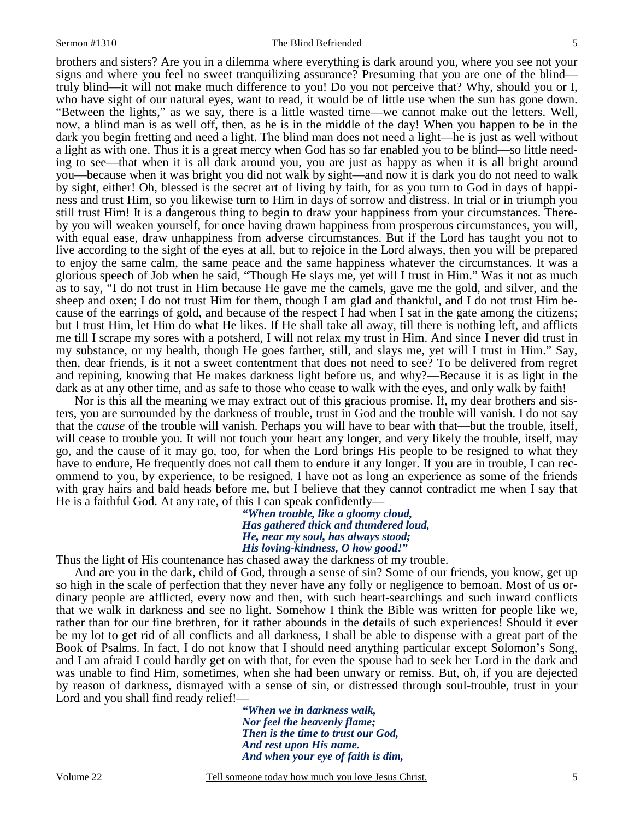brothers and sisters? Are you in a dilemma where everything is dark around you, where you see not your signs and where you feel no sweet tranquilizing assurance? Presuming that you are one of the blind truly blind—it will not make much difference to you! Do you not perceive that? Why, should you or I, who have sight of our natural eyes, want to read, it would be of little use when the sun has gone down. "Between the lights," as we say, there is a little wasted time—we cannot make out the letters. Well, now, a blind man is as well off, then, as he is in the middle of the day! When you happen to be in the dark you begin fretting and need a light. The blind man does not need a light—he is just as well without a light as with one. Thus it is a great mercy when God has so far enabled you to be blind—so little needing to see—that when it is all dark around you, you are just as happy as when it is all bright around you—because when it was bright you did not walk by sight—and now it is dark you do not need to walk by sight, either! Oh, blessed is the secret art of living by faith, for as you turn to God in days of happiness and trust Him, so you likewise turn to Him in days of sorrow and distress. In trial or in triumph you still trust Him! It is a dangerous thing to begin to draw your happiness from your circumstances. Thereby you will weaken yourself, for once having drawn happiness from prosperous circumstances, you will, with equal ease, draw unhappiness from adverse circumstances. But if the Lord has taught you not to live according to the sight of the eyes at all, but to rejoice in the Lord always, then you will be prepared to enjoy the same calm, the same peace and the same happiness whatever the circumstances. It was a glorious speech of Job when he said, "Though He slays me, yet will I trust in Him." Was it not as much as to say, "I do not trust in Him because He gave me the camels, gave me the gold, and silver, and the sheep and oxen; I do not trust Him for them, though I am glad and thankful, and I do not trust Him because of the earrings of gold, and because of the respect I had when I sat in the gate among the citizens; but I trust Him, let Him do what He likes. If He shall take all away, till there is nothing left, and afflicts me till I scrape my sores with a potsherd, I will not relax my trust in Him. And since I never did trust in my substance, or my health, though He goes farther, still, and slays me, yet will I trust in Him." Say, then, dear friends, is it not a sweet contentment that does not need to see? To be delivered from regret and repining, knowing that He makes darkness light before us, and why?—Because it is as light in the dark as at any other time, and as safe to those who cease to walk with the eyes, and only walk by faith!

 Nor is this all the meaning we may extract out of this gracious promise. If, my dear brothers and sisters, you are surrounded by the darkness of trouble, trust in God and the trouble will vanish. I do not say that the *cause* of the trouble will vanish. Perhaps you will have to bear with that—but the trouble, itself, will cease to trouble you. It will not touch your heart any longer, and very likely the trouble, itself, may go, and the cause of it may go, too, for when the Lord brings His people to be resigned to what they have to endure, He frequently does not call them to endure it any longer. If you are in trouble, I can recommend to you, by experience, to be resigned. I have not as long an experience as some of the friends with gray hairs and bald heads before me, but I believe that they cannot contradict me when I say that He is a faithful God. At any rate, of this I can speak confidently—

*"When trouble, like a gloomy cloud, Has gathered thick and thundered loud, He, near my soul, has always stood; His loving-kindness, O how good!"* 

Thus the light of His countenance has chased away the darkness of my trouble.

 And are you in the dark, child of God, through a sense of sin? Some of our friends, you know, get up so high in the scale of perfection that they never have any folly or negligence to bemoan. Most of us ordinary people are afflicted, every now and then, with such heart-searchings and such inward conflicts that we walk in darkness and see no light. Somehow I think the Bible was written for people like we, rather than for our fine brethren, for it rather abounds in the details of such experiences! Should it ever be my lot to get rid of all conflicts and all darkness, I shall be able to dispense with a great part of the Book of Psalms. In fact, I do not know that I should need anything particular except Solomon's Song, and I am afraid I could hardly get on with that, for even the spouse had to seek her Lord in the dark and was unable to find Him, sometimes, when she had been unwary or remiss. But, oh, if you are dejected by reason of darkness, dismayed with a sense of sin, or distressed through soul-trouble, trust in your Lord and you shall find ready relief!—

> *"When we in darkness walk, Nor feel the heavenly flame; Then is the time to trust our God, And rest upon His name. And when your eye of faith is dim,*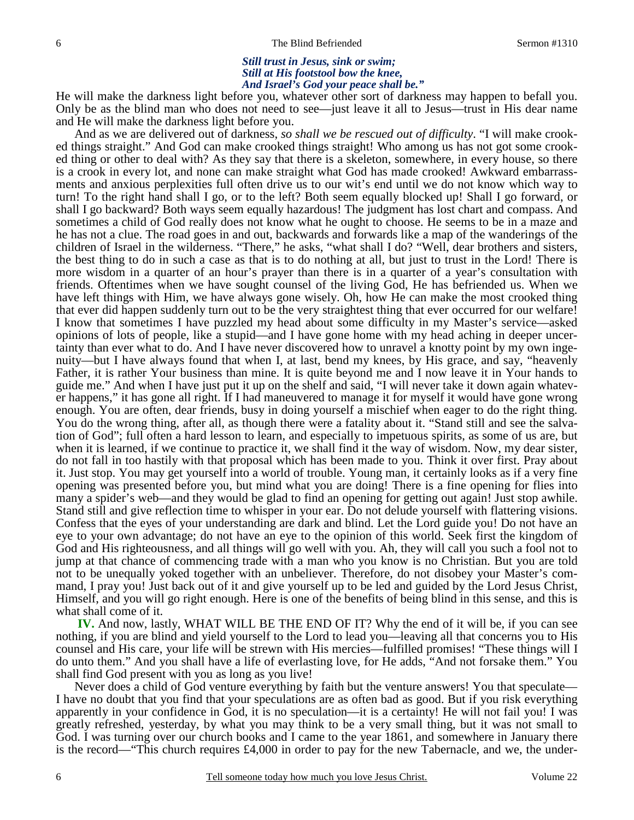### *Still trust in Jesus, sink or swim; Still at His footstool bow the knee, And Israel's God your peace shall be."*

He will make the darkness light before you, whatever other sort of darkness may happen to befall you. Only be as the blind man who does not need to see—just leave it all to Jesus—trust in His dear name and He will make the darkness light before you.

 And as we are delivered out of darkness, *so shall we be rescued out of difficulty*. "I will make crooked things straight." And God can make crooked things straight! Who among us has not got some crooked thing or other to deal with? As they say that there is a skeleton, somewhere, in every house, so there is a crook in every lot, and none can make straight what God has made crooked! Awkward embarrassments and anxious perplexities full often drive us to our wit's end until we do not know which way to turn! To the right hand shall I go, or to the left? Both seem equally blocked up! Shall I go forward, or shall I go backward? Both ways seem equally hazardous! The judgment has lost chart and compass. And sometimes a child of God really does not know what he ought to choose. He seems to be in a maze and he has not a clue. The road goes in and out, backwards and forwards like a map of the wanderings of the children of Israel in the wilderness. "There," he asks, "what shall I do? "Well, dear brothers and sisters, the best thing to do in such a case as that is to do nothing at all, but just to trust in the Lord! There is more wisdom in a quarter of an hour's prayer than there is in a quarter of a year's consultation with friends. Oftentimes when we have sought counsel of the living God, He has befriended us. When we have left things with Him, we have always gone wisely. Oh, how He can make the most crooked thing that ever did happen suddenly turn out to be the very straightest thing that ever occurred for our welfare! I know that sometimes I have puzzled my head about some difficulty in my Master's service—asked opinions of lots of people, like a stupid—and I have gone home with my head aching in deeper uncertainty than ever what to do. And I have never discovered how to unravel a knotty point by my own ingenuity—but I have always found that when I, at last, bend my knees, by His grace, and say, "heavenly Father, it is rather Your business than mine. It is quite beyond me and I now leave it in Your hands to guide me." And when I have just put it up on the shelf and said, "I will never take it down again whatever happens," it has gone all right. If I had maneuvered to manage it for myself it would have gone wrong enough. You are often, dear friends, busy in doing yourself a mischief when eager to do the right thing. You do the wrong thing, after all, as though there were a fatality about it. "Stand still and see the salvation of God"; full often a hard lesson to learn, and especially to impetuous spirits, as some of us are, but when it is learned, if we continue to practice it, we shall find it the way of wisdom. Now, my dear sister, do not fall in too hastily with that proposal which has been made to you. Think it over first. Pray about it. Just stop. You may get yourself into a world of trouble. Young man, it certainly looks as if a very fine opening was presented before you, but mind what you are doing! There is a fine opening for flies into many a spider's web—and they would be glad to find an opening for getting out again! Just stop awhile. Stand still and give reflection time to whisper in your ear. Do not delude yourself with flattering visions. Confess that the eyes of your understanding are dark and blind. Let the Lord guide you! Do not have an eye to your own advantage; do not have an eye to the opinion of this world. Seek first the kingdom of God and His righteousness, and all things will go well with you. Ah, they will call you such a fool not to jump at that chance of commencing trade with a man who you know is no Christian. But you are told not to be unequally yoked together with an unbeliever. Therefore, do not disobey your Master's command, I pray you! Just back out of it and give yourself up to be led and guided by the Lord Jesus Christ, Himself, and you will go right enough. Here is one of the benefits of being blind in this sense, and this is what shall come of it.

**IV.** And now, lastly, WHAT WILL BE THE END OF IT? Why the end of it will be, if you can see nothing, if you are blind and yield yourself to the Lord to lead you—leaving all that concerns you to His counsel and His care, your life will be strewn with His mercies—fulfilled promises! "These things will I do unto them." And you shall have a life of everlasting love, for He adds, "And not forsake them." You shall find God present with you as long as you live!

 Never does a child of God venture everything by faith but the venture answers! You that speculate— I have no doubt that you find that your speculations are as often bad as good. But if you risk everything apparently in your confidence in God, it is no speculation—it is a certainty! He will not fail you! I was greatly refreshed, yesterday, by what you may think to be a very small thing, but it was not small to God. I was turning over our church books and I came to the year 1861, and somewhere in January there is the record—"This church requires £4,000 in order to pay for the new Tabernacle, and we, the under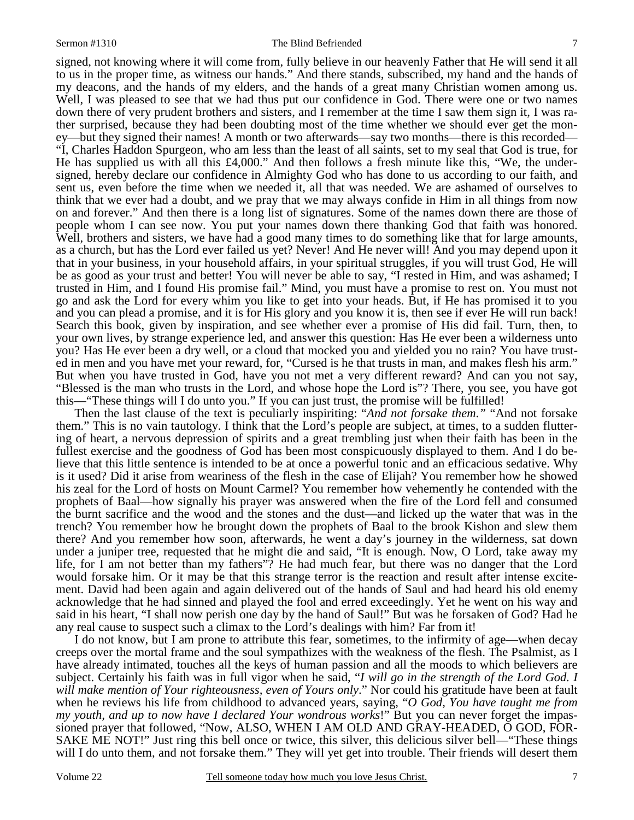signed, not knowing where it will come from, fully believe in our heavenly Father that He will send it all to us in the proper time, as witness our hands." And there stands, subscribed, my hand and the hands of my deacons, and the hands of my elders, and the hands of a great many Christian women among us. Well, I was pleased to see that we had thus put our confidence in God. There were one or two names down there of very prudent brothers and sisters, and I remember at the time I saw them sign it, I was rather surprised, because they had been doubting most of the time whether we should ever get the money—but they signed their names! A month or two afterwards—say two months—there is this recorded— "I, Charles Haddon Spurgeon, who am less than the least of all saints, set to my seal that God is true, for He has supplied us with all this £4,000." And then follows a fresh minute like this, "We, the undersigned, hereby declare our confidence in Almighty God who has done to us according to our faith, and sent us, even before the time when we needed it, all that was needed. We are ashamed of ourselves to think that we ever had a doubt, and we pray that we may always confide in Him in all things from now on and forever." And then there is a long list of signatures. Some of the names down there are those of people whom I can see now. You put your names down there thanking God that faith was honored. Well, brothers and sisters, we have had a good many times to do something like that for large amounts, as a church, but has the Lord ever failed us yet? Never! And He never will! And you may depend upon it that in your business, in your household affairs, in your spiritual struggles, if you will trust God, He will be as good as your trust and better! You will never be able to say, "I rested in Him, and was ashamed; I trusted in Him, and I found His promise fail." Mind, you must have a promise to rest on. You must not go and ask the Lord for every whim you like to get into your heads. But, if He has promised it to you and you can plead a promise, and it is for His glory and you know it is, then see if ever He will run back! Search this book, given by inspiration, and see whether ever a promise of His did fail. Turn, then, to your own lives, by strange experience led, and answer this question: Has He ever been a wilderness unto you? Has He ever been a dry well, or a cloud that mocked you and yielded you no rain? You have trusted in men and you have met your reward, for, "Cursed is he that trusts in man, and makes flesh his arm." But when you have trusted in God, have you not met a very different reward? And can you not say, "Blessed is the man who trusts in the Lord, and whose hope the Lord is"? There, you see, you have got this—"These things will I do unto you." If you can just trust, the promise will be fulfilled!

 Then the last clause of the text is peculiarly inspiriting: "*And not forsake them*.*"* "And not forsake them." This is no vain tautology. I think that the Lord's people are subject, at times, to a sudden fluttering of heart, a nervous depression of spirits and a great trembling just when their faith has been in the fullest exercise and the goodness of God has been most conspicuously displayed to them. And I do believe that this little sentence is intended to be at once a powerful tonic and an efficacious sedative. Why is it used? Did it arise from weariness of the flesh in the case of Elijah? You remember how he showed his zeal for the Lord of hosts on Mount Carmel? You remember how vehemently he contended with the prophets of Baal—how signally his prayer was answered when the fire of the Lord fell and consumed the burnt sacrifice and the wood and the stones and the dust—and licked up the water that was in the trench? You remember how he brought down the prophets of Baal to the brook Kishon and slew them there? And you remember how soon, afterwards, he went a day's journey in the wilderness, sat down under a juniper tree, requested that he might die and said, "It is enough. Now, O Lord, take away my life, for I am not better than my fathers"? He had much fear, but there was no danger that the Lord would forsake him. Or it may be that this strange terror is the reaction and result after intense excitement. David had been again and again delivered out of the hands of Saul and had heard his old enemy acknowledge that he had sinned and played the fool and erred exceedingly. Yet he went on his way and said in his heart, "I shall now perish one day by the hand of Saul!" But was he forsaken of God? Had he any real cause to suspect such a climax to the Lord's dealings with him? Far from it!

 I do not know, but I am prone to attribute this fear, sometimes, to the infirmity of age—when decay creeps over the mortal frame and the soul sympathizes with the weakness of the flesh. The Psalmist, as I have already intimated, touches all the keys of human passion and all the moods to which believers are subject. Certainly his faith was in full vigor when he said, "*I will go in the strength of the Lord God. I will make mention of Your righteousness, even of Yours only*." Nor could his gratitude have been at fault when he reviews his life from childhood to advanced years, saying, "*O God, You have taught me from my youth, and up to now have I declared Your wondrous works*!" But you can never forget the impassioned prayer that followed, "Now, ALSO, WHEN I AM OLD AND GRAY-HEADED, O GOD, FOR-SAKE ME NOT!" Just ring this bell once or twice, this silver, this delicious silver bell—"These things will I do unto them, and not forsake them." They will yet get into trouble. Their friends will desert them